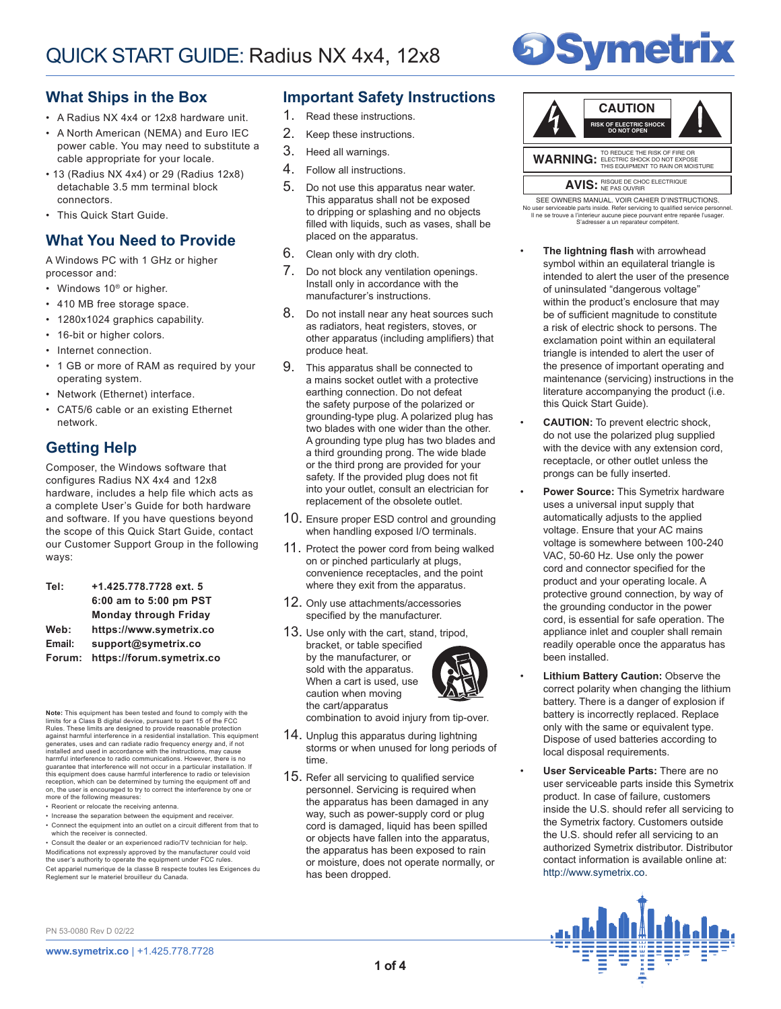# **Symetrix**

### **What Ships in the Box**

- A Radius NX 4x4 or 12x8 hardware unit.
- A North American (NEMA) and Euro IEC power cable. You may need to substitute a cable appropriate for your locale.
- 13 (Radius NX 4x4) or 29 (Radius 12x8) detachable 3.5 mm terminal block connectors.
- This Quick Start Guide.

# **What You Need to Provide**

A Windows PC with 1 GHz or higher processor and:

- Windows 10<sup>®</sup> or higher.
- 410 MB free storage space.
- 1280x1024 graphics capability.
- 16-bit or higher colors.
- Internet connection.
- 1 GB or more of RAM as required by your operating system.
- Network (Ethernet) interface.
- CAT5/6 cable or an existing Ethernet network.

# **Getting Help**

Composer, the Windows software that configures Radius NX 4x4 and 12x8 hardware, includes a help file which acts as a complete User's Guide for both hardware and software. If you have questions beyond the scope of this Quick Start Guide, contact our Customer Support Group in the following ways:

| +1.425.778.7728 ext. 5       |
|------------------------------|
| 6:00 am to 5:00 pm PST       |
| <b>Monday through Friday</b> |
| https://www.symetrix.co      |
| support@symetrix.co          |
| https://forum.symetrix.co    |
|                              |

**Note:** This equipment has been tested and found to comply limits for a Class B digital device, pursuant to part 15 of the FCC Rules. These limits are designed to provide reasonable protection<br>against harmful interference in a residential installation. This equipment<br>generates, uses and can radiate radio frequency energy and, if not installed and used in accordance with the instructions, may cause harmful interference to radio communications. However, there is no<br>guarantee that interference will not occur in a particular installation. If<br>this equipment does cause harmful interference to radio or television reception, which can be determined by turning the equipment off and on, the user is encouraged to try to correct the interference by one or more of the following measures:

- Reorient or relocate the receiving antenna.
- Increase the separation between the equipment and receiver.

• Connect the equipment into an outlet on a circuit different from that to which the receiver is connected. • Consult the dealer or an experienced radio/TV technician for help. Modifications not expressly approved by the manufacturer could void the user's authority to operate the equipment under FCC rules. Cet appariel numerique de la classe B respecte toutes les Exigences du Reglement sur le materiel brouilleur du Canada.

### **Important Safety Instructions**

- 1. Read these instructions.
- 2. Keep these instructions.
- 3. Heed all warnings.
- 4. Follow all instructions.
- 5. Do not use this apparatus near water. This apparatus shall not be exposed to dripping or splashing and no objects filled with liquids, such as vases, shall be placed on the apparatus.
- 6. Clean only with dry cloth.
- 7. Do not block any ventilation openings. Install only in accordance with the manufacturer's instructions.
- 8. Do not install near any heat sources such as radiators, heat registers, stoves, or other apparatus (including amplifiers) that produce heat.
- 9. This apparatus shall be connected to a mains socket outlet with a protective earthing connection. Do not defeat the safety purpose of the polarized or grounding-type plug. A polarized plug has two blades with one wider than the other. A grounding type plug has two blades and a third grounding prong. The wide blade or the third prong are provided for your safety. If the provided plug does not fit into your outlet, consult an electrician for replacement of the obsolete outlet.
- 10. Ensure proper ESD control and grounding when handling exposed I/O terminals.
- 11. Protect the power cord from being walked on or pinched particularly at plugs, convenience receptacles, and the point where they exit from the apparatus.
- 12. Only use attachments/accessories specified by the manufacturer.
- 13. Use only with the cart, stand, tripod, bracket, or table specified by the manufacturer, or sold with the apparatus. When a cart is used, use caution when moving the cart/apparatus



combination to avoid injury from tip-over.

- 14. Unplug this apparatus during lightning storms or when unused for long periods of time.
- 15. Refer all servicing to qualified service personnel. Servicing is required when the apparatus has been damaged in any way, such as power-supply cord or plug cord is damaged, liquid has been spilled or objects have fallen into the apparatus, the apparatus has been exposed to rain or moisture, does not operate normally, or has been dropped.



AVIS: RISQUE DE CHOC ELECTRIQUE

Il ne se trouve a l'interieur aucune piece pourvant entre reparée l'usager. S'adresser a un reparateur compétent. SEE OWNERS MANUAL. VOIR CAHIER D'INSTRUCTIONS. No user serviceable parts inside. Refer servicing to qualified service personnel.

- **The lightning flash** with arrowhead symbol within an equilateral triangle is intended to alert the user of the presence of uninsulated "dangerous voltage" within the product's enclosure that may be of sufficient magnitude to constitute a risk of electric shock to persons. The exclamation point within an equilateral triangle is intended to alert the user of the presence of important operating and maintenance (servicing) instructions in the literature accompanying the product (i.e. this Quick Start Guide).
- **CAUTION:** To prevent electric shock, do not use the polarized plug supplied with the device with any extension cord, receptacle, or other outlet unless the prongs can be fully inserted.
- **Power Source:** This Symetrix hardware uses a universal input supply that automatically adjusts to the applied voltage. Ensure that your AC mains voltage is somewhere between 100-240 VAC, 50-60 Hz. Use only the power cord and connector specified for the product and your operating locale. A protective ground connection, by way of the grounding conductor in the power cord, is essential for safe operation. The appliance inlet and coupler shall remain readily operable once the apparatus has been installed.
- **Lithium Battery Caution:** Observe the correct polarity when changing the lithium battery. There is a danger of explosion if battery is incorrectly replaced. Replace only with the same or equivalent type. Dispose of used batteries according to local disposal requirements.
- **User Serviceable Parts:** There are no user serviceable parts inside this Symetrix product. In case of failure, customers inside the U.S. should refer all servicing to the Symetrix factory. Customers outside the U.S. should refer all servicing to an authorized Symetrix distributor. Distributor contact information is available online at: http://www.symetrix.co.

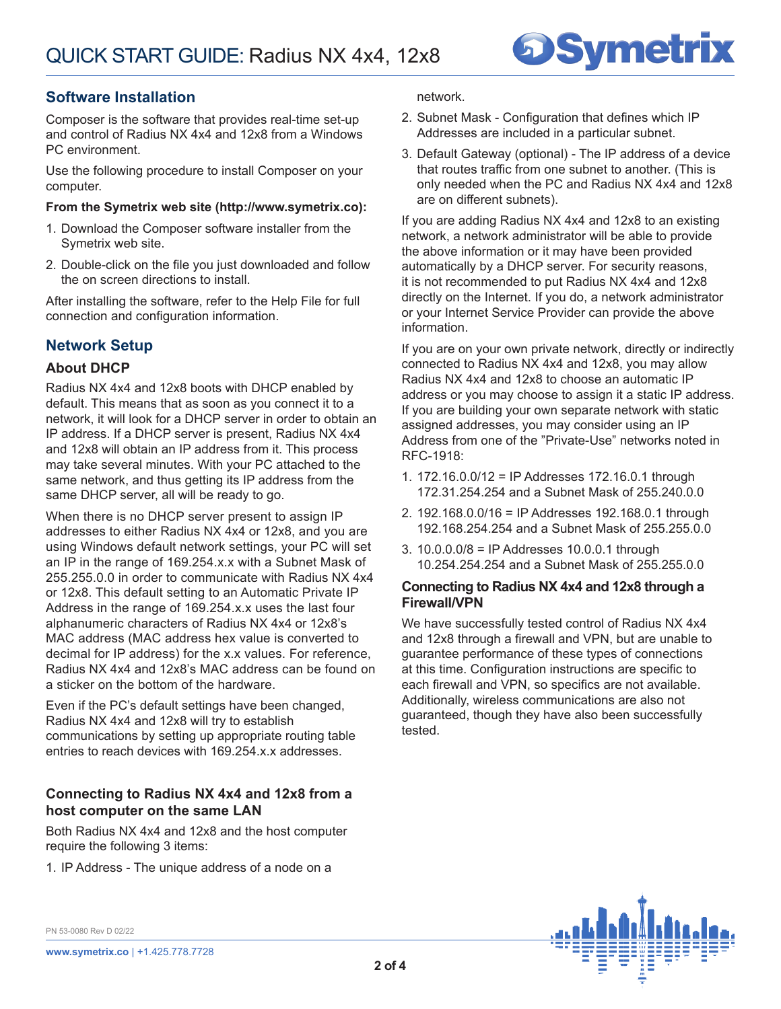

# **Software Installation**

Composer is the software that provides real-time set-up and control of Radius NX 4x4 and 12x8 from a Windows PC environment.

Use the following procedure to install Composer on your computer.

### **From the Symetrix web site (http://www.symetrix.co):**

- 1. Download the Composer software installer from the Symetrix web site.
- 2. Double-click on the file you just downloaded and follow the on screen directions to install.

After installing the software, refer to the Help File for full connection and configuration information.

# **Network Setup**

### **About DHCP**

Radius NX 4x4 and 12x8 boots with DHCP enabled by default. This means that as soon as you connect it to a network, it will look for a DHCP server in order to obtain an IP address. If a DHCP server is present, Radius NX 4x4 and 12x8 will obtain an IP address from it. This process may take several minutes. With your PC attached to the same network, and thus getting its IP address from the same DHCP server, all will be ready to go.

When there is no DHCP server present to assign IP addresses to either Radius NX 4x4 or 12x8, and you are using Windows default network settings, your PC will set an IP in the range of 169.254.x.x with a Subnet Mask of 255.255.0.0 in order to communicate with Radius NX 4x4 or 12x8. This default setting to an Automatic Private IP Address in the range of 169.254.x.x uses the last four alphanumeric characters of Radius NX 4x4 or 12x8's MAC address (MAC address hex value is converted to decimal for IP address) for the x.x values. For reference, Radius NX 4x4 and 12x8's MAC address can be found on a sticker on the bottom of the hardware.

Even if the PC's default settings have been changed, Radius NX 4x4 and 12x8 will try to establish communications by setting up appropriate routing table entries to reach devices with 169.254.x.x addresses.

### **Connecting to Radius NX 4x4 and 12x8 from a host computer on the same LAN**

Both Radius NX 4x4 and 12x8 and the host computer require the following 3 items:

1. IP Address - The unique address of a node on a

network.

- 2. Subnet Mask Configuration that defines which IP Addresses are included in a particular subnet.
- 3. Default Gateway (optional) The IP address of a device that routes traffic from one subnet to another. (This is only needed when the PC and Radius NX 4x4 and 12x8 are on different subnets).

If you are adding Radius NX 4x4 and 12x8 to an existing network, a network administrator will be able to provide the above information or it may have been provided automatically by a DHCP server. For security reasons, it is not recommended to put Radius NX 4x4 and 12x8 directly on the Internet. If you do, a network administrator or your Internet Service Provider can provide the above information.

If you are on your own private network, directly or indirectly connected to Radius NX 4x4 and 12x8, you may allow Radius NX 4x4 and 12x8 to choose an automatic IP address or you may choose to assign it a static IP address. If you are building your own separate network with static assigned addresses, you may consider using an IP Address from one of the "Private-Use" networks noted in RFC-1918:

- 1. 172.16.0.0/12 = IP Addresses 172.16.0.1 through 172.31.254.254 and a Subnet Mask of 255.240.0.0
- 2. 192.168.0.0/16 = IP Addresses 192.168.0.1 through 192.168.254.254 and a Subnet Mask of 255.255.0.0
- 3. 10.0.0.0/8 = IP Addresses 10.0.0.1 through 10.254.254.254 and a Subnet Mask of 255.255.0.0

### **Connecting to Radius NX 4x4 and 12x8 through a Firewall/VPN**

We have successfully tested control of Radius NX 4x4 and 12x8 through a firewall and VPN, but are unable to guarantee performance of these types of connections at this time. Configuration instructions are specific to each firewall and VPN, so specifics are not available. Additionally, wireless communications are also not guaranteed, though they have also been successfully tested.



PN 53-0080 Rev D 02/22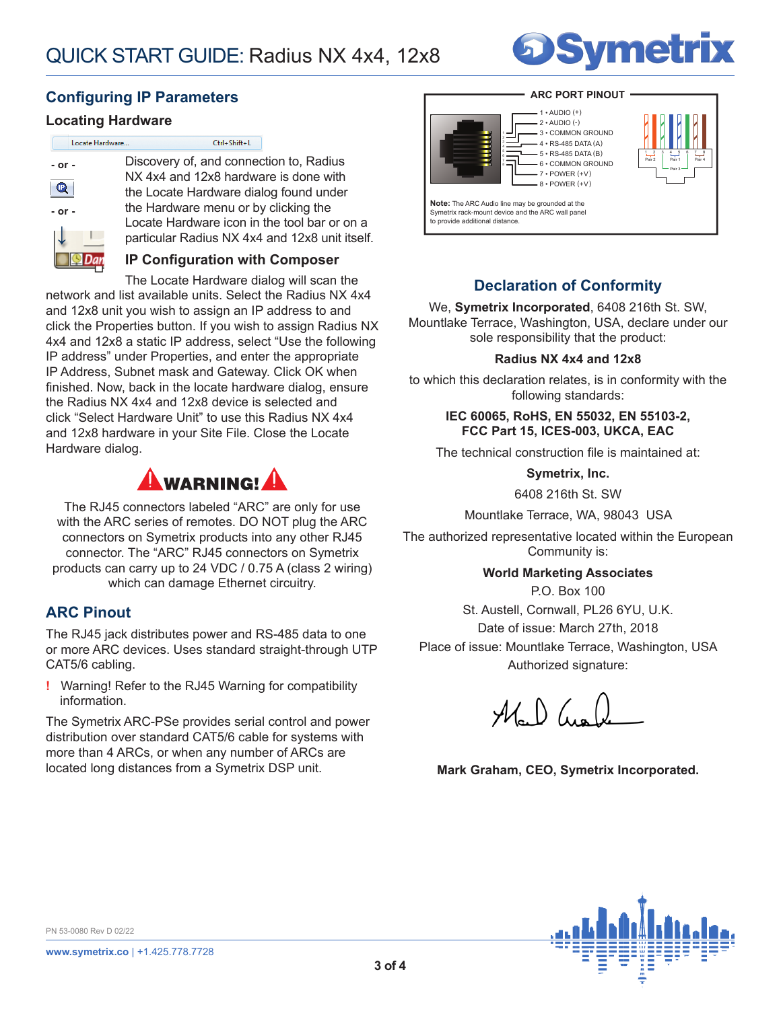unit itself.



## **Configuring IP Parameters**

### **Locating Hardware**

| Locate Hardware | Ctrl+Shift+L                                  |
|-----------------|-----------------------------------------------|
| $-$ or $-$      | Discovery of, and connection to, Radius       |
|                 | NX 4x4 and 12x8 hardware is done with         |
|                 | the Locate Hardware dialog found under        |
| $-$ or $-$      | the Hardware menu or by clicking the          |
|                 | Locate Hardware icon in the tool bar or on a  |
|                 | particular Radius NX 4x4 and 12x8 unit itself |
|                 | <b>IP Configuration with Composer</b>         |
|                 | The Leeste Herdware dialed will esse the      |

The Locate Hardware dialog will scan the network and list available units. Select the Radius NX 4x4 and 12x8 unit you wish to assign an IP address to and click the Properties button. If you wish to assign Radius NX 4x4 and 12x8 a static IP address, select "Use the following IP address" under Properties, and enter the appropriate IP Address, Subnet mask and Gateway. Click OK when finished. Now, back in the locate hardware dialog, ensure the Radius NX 4x4 and 12x8 device is selected and click "Select Hardware Unit" to use this Radius NX 4x4 and 12x8 hardware in your Site File. Close the Locate Hardware dialog.



The RJ45 connectors labeled "ARC" are only for use with the ARC series of remotes. DO NOT plug the ARC connectors on Symetrix products into any other RJ45 connector. The "ARC" RJ45 connectors on Symetrix products can carry up to 24 VDC / 0.75 A (class 2 wiring) which can damage Ethernet circuitry.

### **ARC Pinout**

The RJ45 jack distributes power and RS-485 data to one or more ARC devices. Uses standard straight-through UTP CAT5/6 cabling.

**!** Warning! Refer to the RJ45 Warning for compatibility information.

The Symetrix ARC-PSe provides serial control and power distribution over standard CAT5/6 cable for systems with more than 4 ARCs, or when any number of ARCs are located long distances from a Symetrix DSP unit.

#### **ARC PORT PINOUT**



#### $1 \cdot$  AUDIO  $(+)$  $-2 \cdot \text{AUDIO}$  $(-)$

7 • POWER (+V)



**Note:** The ARC Audio line may be grounded at the Symetrix rack-mount device and the ARC wall panel to provide additional distance.

# **Declaration of Conformity**

We, **Symetrix Incorporated**, 6408 216th St. SW, Mountlake Terrace, Washington, USA, declare under our sole responsibility that the product:

### **Radius NX 4x4 and 12x8**

to which this declaration relates, is in conformity with the following standards:

### **IEC 60065, RoHS, EN 55032, EN 55103-2, FCC Part 15, ICES-003, UKCA, EAC**

The technical construction file is maintained at:

**Symetrix, Inc.**

6408 216th St. SW

Mountlake Terrace, WA, 98043 USA

The authorized representative located within the European Community is:

### **World Marketing Associates**

P.O. Box 100 St. Austell, Cornwall, PL26 6YU, U.K. Date of issue: March 27th, 2018 Place of issue: Mountlake Terrace, Washington, USA Authorized signature:

 $M_{\circ}$  )  $\mu_{\bullet}$ 

**Mark Graham, CEO, Symetrix Incorporated.**



PN 53-0080 Rev D 02/22